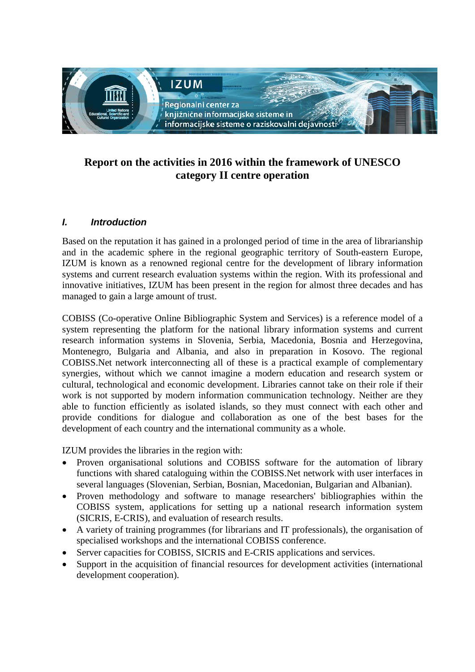

# **Report on the activities in 2016 within the framework of UNESCO category II centre operation**

# *I. Introduction*

Based on the reputation it has gained in a prolonged period of time in the area of librarianship and in the academic sphere in the regional geographic territory of South-eastern Europe, IZUM is known as a renowned regional centre for the development of library information systems and current research evaluation systems within the region. With its professional and innovative initiatives, IZUM has been present in the region for almost three decades and has managed to gain a large amount of trust.

COBISS (Co-operative Online Bibliographic System and Services) is a reference model of a system representing the platform for the national library information systems and current research information systems in Slovenia, Serbia, Macedonia, Bosnia and Herzegovina, Montenegro, Bulgaria and Albania, and also in preparation in Kosovo. The regional COBISS.Net network interconnecting all of these is a practical example of complementary synergies, without which we cannot imagine a modern education and research system or cultural, technological and economic development. Libraries cannot take on their role if their work is not supported by modern information communication technology. Neither are they able to function efficiently as isolated islands, so they must connect with each other and provide conditions for dialogue and collaboration as one of the best bases for the development of each country and the international community as a whole.

IZUM provides the libraries in the region with:

- Proven organisational solutions and COBISS software for the automation of library functions with shared cataloguing within the COBISS.Net network with user interfaces in several languages (Slovenian, Serbian, Bosnian, Macedonian, Bulgarian and Albanian).
- Proven methodology and software to manage researchers' bibliographies within the COBISS system, applications for setting up a national research information system (SICRIS, E-CRIS), and evaluation of research results.
- A variety of training programmes (for librarians and IT professionals), the organisation of specialised workshops and the international COBISS conference.
- Server capacities for COBISS, SICRIS and E-CRIS applications and services.
- Support in the acquisition of financial resources for development activities (international development cooperation).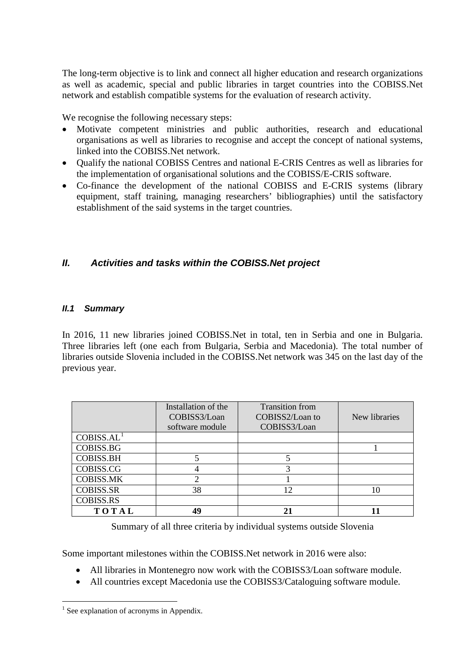The long-term objective is to link and connect all higher education and research organizations as well as academic, special and public libraries in target countries into the COBISS.Net network and establish compatible systems for the evaluation of research activity.

We recognise the following necessary steps:

- Motivate competent ministries and public authorities, research and educational organisations as well as libraries to recognise and accept the concept of national systems, linked into the COBISS.Net network.
- Qualify the national COBISS Centres and national E-CRIS Centres as well as libraries for the implementation of organisational solutions and the COBISS/E-CRIS software.
- Co-finance the development of the national COBISS and E-CRIS systems (library equipment, staff training, managing researchers' bibliographies) until the satisfactory establishment of the said systems in the target countries.

# *II. Activities and tasks within the COBISS.Net project*

### *II.1 Summary*

In 2016, 11 new libraries joined COBISS.Net in total, ten in Serbia and one in Bulgaria. Three libraries left (one each from Bulgaria, Serbia and Macedonia). The total number of libraries outside Slovenia included in the COBISS.Net network was 345 on the last day of the previous year.

|                        | Installation of the<br>COBISS3/Loan<br>software module | <b>Transition</b> from<br>COBISS2/Loan to<br>COBISS3/Loan | New libraries |
|------------------------|--------------------------------------------------------|-----------------------------------------------------------|---------------|
| COBISS.AL <sup>1</sup> |                                                        |                                                           |               |
| <b>COBISS.BG</b>       |                                                        |                                                           |               |
| <b>COBISS.BH</b>       |                                                        |                                                           |               |
| COBISS.CG              |                                                        |                                                           |               |
| <b>COBISS.MK</b>       |                                                        |                                                           |               |
| <b>COBISS.SR</b>       | 38                                                     | ∣າ                                                        |               |
| <b>COBISS.RS</b>       |                                                        |                                                           |               |
| TOTAL                  | 40                                                     |                                                           |               |

Summary of all three criteria by individual systems outside Slovenia

Some important milestones within the COBISS.Net network in 2016 were also:

- All libraries in Montenegro now work with the COBISS3/Loan software module.
- All countries except Macedonia use the COBISS3/Cataloguing software module.

<span id="page-1-0"></span> $<sup>1</sup>$  See explanation of acronyms in Appendix.</sup>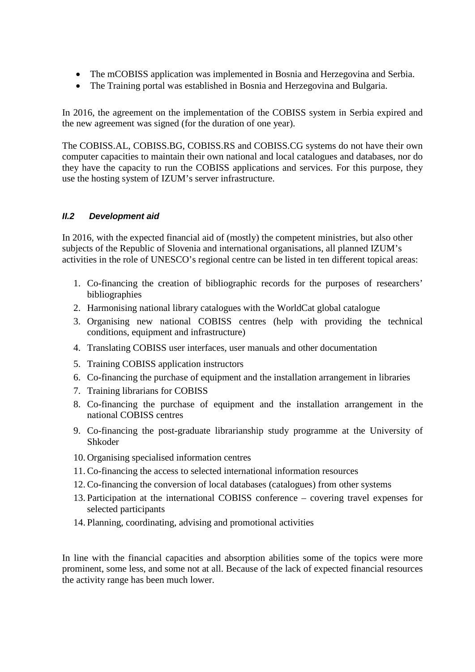- The mCOBISS application was implemented in Bosnia and Herzegovina and Serbia.
- The Training portal was established in Bosnia and Herzegovina and Bulgaria.

In 2016, the agreement on the implementation of the COBISS system in Serbia expired and the new agreement was signed (for the duration of one year).

The COBISS.AL, COBISS.BG, COBISS.RS and COBISS.CG systems do not have their own computer capacities to maintain their own national and local catalogues and databases, nor do they have the capacity to run the COBISS applications and services. For this purpose, they use the hosting system of IZUM's server infrastructure.

### *II.2 Development aid*

In 2016, with the expected financial aid of (mostly) the competent ministries, but also other subjects of the Republic of Slovenia and international organisations, all planned IZUM's activities in the role of UNESCO's regional centre can be listed in ten different topical areas:

- 1. Co-financing the creation of bibliographic records for the purposes of researchers' bibliographies
- 2. Harmonising national library catalogues with the WorldCat global catalogue
- 3. Organising new national COBISS centres (help with providing the technical conditions, equipment and infrastructure)
- 4. Translating COBISS user interfaces, user manuals and other documentation
- 5. Training COBISS application instructors
- 6. Co-financing the purchase of equipment and the installation arrangement in libraries
- 7. Training librarians for COBISS
- 8. Co-financing the purchase of equipment and the installation arrangement in the national COBISS centres
- 9. Co-financing the post-graduate librarianship study programme at the University of Shkoder
- 10. Organising specialised information centres
- 11. Co-financing the access to selected international information resources
- 12. Co-financing the conversion of local databases (catalogues) from other systems
- 13. Participation at the international COBISS conference covering travel expenses for selected participants
- 14. Planning, coordinating, advising and promotional activities

In line with the financial capacities and absorption abilities some of the topics were more prominent, some less, and some not at all. Because of the lack of expected financial resources the activity range has been much lower.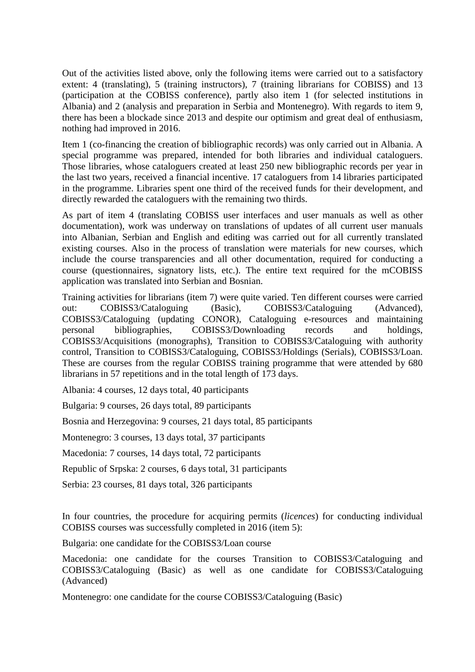Out of the activities listed above, only the following items were carried out to a satisfactory extent: 4 (translating), 5 (training instructors), 7 (training librarians for COBISS) and 13 (participation at the COBISS conference), partly also item 1 (for selected institutions in Albania) and 2 (analysis and preparation in Serbia and Montenegro). With regards to item 9, there has been a blockade since 2013 and despite our optimism and great deal of enthusiasm, nothing had improved in 2016.

Item 1 (co-financing the creation of bibliographic records) was only carried out in Albania. A special programme was prepared, intended for both libraries and individual cataloguers. Those libraries, whose cataloguers created at least 250 new bibliographic records per year in the last two years, received a financial incentive. 17 cataloguers from 14 libraries participated in the programme. Libraries spent one third of the received funds for their development, and directly rewarded the cataloguers with the remaining two thirds.

As part of item 4 (translating COBISS user interfaces and user manuals as well as other documentation), work was underway on translations of updates of all current user manuals into Albanian, Serbian and English and editing was carried out for all currently translated existing courses. Also in the process of translation were materials for new courses, which include the course transparencies and all other documentation, required for conducting a course (questionnaires, signatory lists, etc.). The entire text required for the mCOBISS application was translated into Serbian and Bosnian.

Training activities for librarians (item 7) were quite varied. Ten different courses were carried out: COBISS3/Cataloguing (Basic), COBISS3/Cataloguing (Advanced), COBISS3/Cataloguing (updating CONOR), Cataloguing e-resources and maintaining personal bibliographies, COBISS3/Downloading records and holdings, COBISS3/Acquisitions (monographs), Transition to COBISS3/Cataloguing with authority control, Transition to COBISS3/Cataloguing, COBISS3/Holdings (Serials), COBISS3/Loan. These are courses from the regular COBISS training programme that were attended by 680 librarians in 57 repetitions and in the total length of 173 days.

Albania: 4 courses, 12 days total, 40 participants

Bulgaria: 9 courses, 26 days total, 89 participants

Bosnia and Herzegovina: 9 courses, 21 days total, 85 participants

Montenegro: 3 courses, 13 days total, 37 participants

Macedonia: 7 courses, 14 days total, 72 participants

Republic of Srpska: 2 courses, 6 days total, 31 participants

Serbia: 23 courses, 81 days total, 326 participants

In four countries, the procedure for acquiring permits (*licences*) for conducting individual COBISS courses was successfully completed in 2016 (item 5):

Bulgaria: one candidate for the COBISS3/Loan course

Macedonia: one candidate for the courses Transition to COBISS3/Cataloguing and COBISS3/Cataloguing (Basic) as well as one candidate for COBISS3/Cataloguing (Advanced)

Montenegro: one candidate for the course COBISS3/Cataloguing (Basic)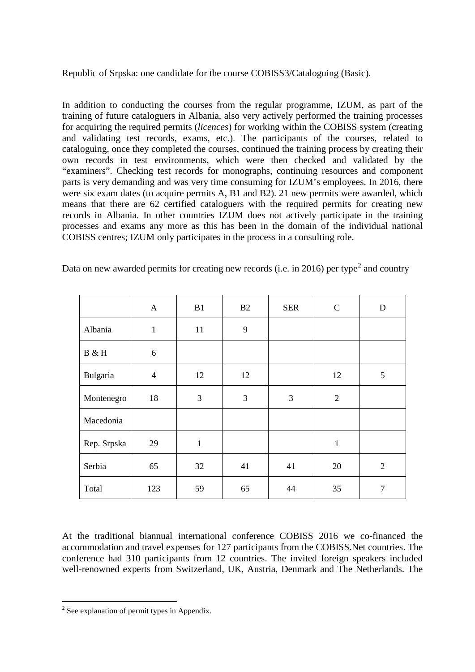Republic of Srpska: one candidate for the course COBISS3/Cataloguing (Basic).

In addition to conducting the courses from the regular programme, IZUM, as part of the training of future cataloguers in Albania, also very actively performed the training processes for acquiring the required permits (*licences*) for working within the COBISS system (creating and validating test records, exams, etc.). The participants of the courses, related to cataloguing, once they completed the courses, continued the training process by creating their own records in test environments, which were then checked and validated by the "examiners". Checking test records for monographs, continuing resources and component parts is very demanding and was very time consuming for IZUM's employees. In 2016, there were six exam dates (to acquire permits A, B1 and B2). 21 new permits were awarded, which means that there are 62 certified cataloguers with the required permits for creating new records in Albania. In other countries IZUM does not actively participate in the training processes and exams any more as this has been in the domain of the individual national COBISS centres; IZUM only participates in the process in a consulting role.

|             | $\mathbf{A}$   | B1           | B2 | <b>SER</b> | $\mathbf C$    | $\mathbf D$    |
|-------------|----------------|--------------|----|------------|----------------|----------------|
| Albania     | $\mathbf{1}$   | 11           | 9  |            |                |                |
| B & H       | 6              |              |    |            |                |                |
| Bulgaria    | $\overline{4}$ | 12           | 12 |            | 12             | 5              |
| Montenegro  | 18             | 3            | 3  | 3          | $\overline{2}$ |                |
| Macedonia   |                |              |    |            |                |                |
| Rep. Srpska | 29             | $\mathbf{1}$ |    |            | $\mathbf{1}$   |                |
| Serbia      | 65             | 32           | 41 | 41         | 20             | $\overline{2}$ |
| Total       | 123            | 59           | 65 | 44         | 35             | 7              |

Data on new awarded permits for creating new records (i.e. in [2](#page-4-0)016) per type<sup>2</sup> and country

At the traditional biannual international conference COBISS 2016 we co-financed the accommodation and travel expenses for 127 participants from the COBISS.Net countries. The conference had 310 participants from 12 countries. The invited foreign speakers included well-renowned experts from Switzerland, UK, Austria, Denmark and The Netherlands. The

<span id="page-4-0"></span> $2$  See explanation of permit types in Appendix.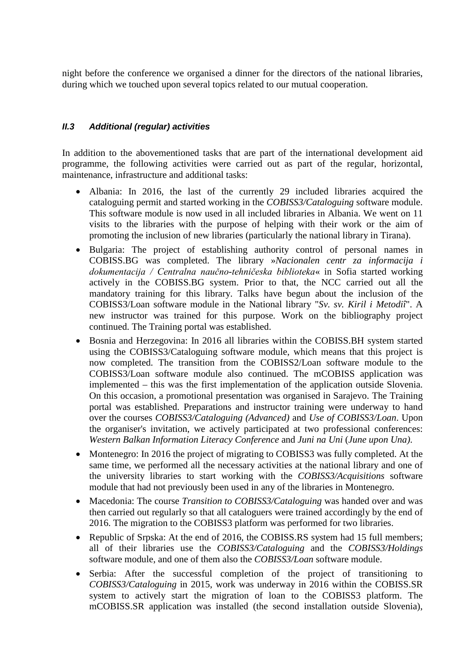night before the conference we organised a dinner for the directors of the national libraries, during which we touched upon several topics related to our mutual cooperation.

### *II.3 Additional (regular) activities*

In addition to the abovementioned tasks that are part of the international development aid programme, the following activities were carried out as part of the regular, horizontal, maintenance, infrastructure and additional tasks:

- Albania: In 2016, the last of the currently 29 included libraries acquired the cataloguing permit and started working in the *COBISS3/Cataloguing* software module. This software module is now used in all included libraries in Albania. We went on 11 visits to the libraries with the purpose of helping with their work or the aim of promoting the inclusion of new libraries (particularly the national library in Tirana).
- Bulgaria: The project of establishing authority control of personal names in COBISS.BG was completed. The library »*Nacionalen centr za informacija i dokumentacija / Centralna naučno-tehničeska biblioteka*« in Sofia started working actively in the COBISS.BG system. Prior to that, the NCC carried out all the mandatory training for this library. Talks have begun about the inclusion of the COBISS3/Loan software module in the National library "*Sv. sv. Kiril i Metodiî*". A new instructor was trained for this purpose. Work on the bibliography project continued. The Training portal was established.
- Bosnia and Herzegovina: In 2016 all libraries within the COBISS.BH system started using the COBISS3/Cataloguing software module, which means that this project is now completed. The transition from the COBISS2/Loan software module to the COBISS3/Loan software module also continued. The mCOBISS application was implemented – this was the first implementation of the application outside Slovenia. On this occasion, a promotional presentation was organised in Sarajevo. The Training portal was established. Preparations and instructor training were underway to hand over the courses *COBISS3/Cataloguing (Advanced)* and *Use of COBISS3/Loan*. Upon the organiser's invitation, we actively participated at two professional conferences: *Western Balkan Information Literacy Conference* and *Juni na Uni* (*June upon Una)*.
- Montenegro: In 2016 the project of migrating to COBISS3 was fully completed. At the same time, we performed all the necessary activities at the national library and one of the university libraries to start working with the *COBISS3/Acquisitions* software module that had not previously been used in any of the libraries in Montenegro.
- Macedonia: The course *Transition to COBISS3/Cataloguing* was handed over and was then carried out regularly so that all cataloguers were trained accordingly by the end of 2016. The migration to the COBISS3 platform was performed for two libraries.
- Republic of Srpska: At the end of 2016, the COBISS.RS system had 15 full members; all of their libraries use the *COBISS3/Cataloguing* and the *COBISS3/Holdings* software module, and one of them also the *COBISS3/Loan* software module.
- Serbia: After the successful completion of the project of transitioning to *COBISS3/Cataloguing* in 2015, work was underway in 2016 within the COBISS.SR system to actively start the migration of loan to the COBISS3 platform. The mCOBISS.SR application was installed (the second installation outside Slovenia),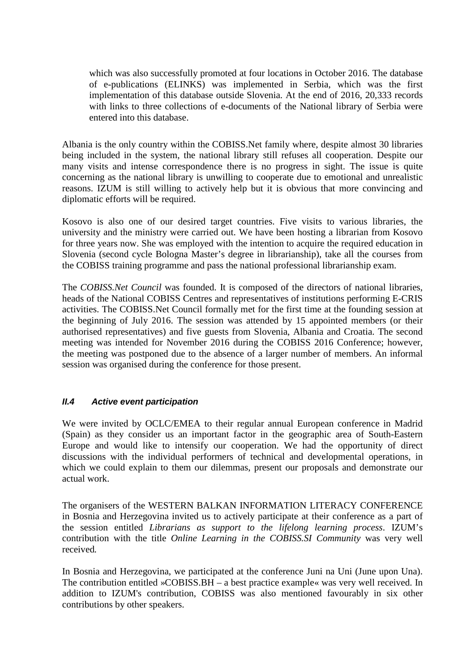which was also successfully promoted at four locations in October 2016. The database of e-publications (ELINKS) was implemented in Serbia, which was the first implementation of this database outside Slovenia. At the end of 2016, 20,333 records with links to three collections of e-documents of the National library of Serbia were entered into this database.

Albania is the only country within the COBISS.Net family where, despite almost 30 libraries being included in the system, the national library still refuses all cooperation. Despite our many visits and intense correspondence there is no progress in sight. The issue is quite concerning as the national library is unwilling to cooperate due to emotional and unrealistic reasons. IZUM is still willing to actively help but it is obvious that more convincing and diplomatic efforts will be required.

Kosovo is also one of our desired target countries. Five visits to various libraries, the university and the ministry were carried out. We have been hosting a librarian from Kosovo for three years now. She was employed with the intention to acquire the required education in Slovenia (second cycle Bologna Master's degree in librarianship), take all the courses from the COBISS training programme and pass the national professional librarianship exam.

The *COBISS.Net Council* was founded. It is composed of the directors of national libraries, heads of the National COBISS Centres and representatives of institutions performing E-CRIS activities. The COBISS.Net Council formally met for the first time at the founding session at the beginning of July 2016. The session was attended by 15 appointed members (or their authorised representatives) and five guests from Slovenia, Albania and Croatia. The second meeting was intended for November 2016 during the COBISS 2016 Conference; however, the meeting was postponed due to the absence of a larger number of members. An informal session was organised during the conference for those present.

## *II.4 Active event participation*

We were invited by OCLC/EMEA to their regular annual European conference in Madrid (Spain) as they consider us an important factor in the geographic area of South-Eastern Europe and would like to intensify our cooperation. We had the opportunity of direct discussions with the individual performers of technical and developmental operations, in which we could explain to them our dilemmas, present our proposals and demonstrate our actual work.

The organisers of the WESTERN BALKAN INFORMATION LITERACY CONFERENCE in Bosnia and Herzegovina invited us to actively participate at their conference as a part of the session entitled *Librarians as support to the lifelong learning process*. IZUM's contribution with the title *Online Learning in the COBISS.SI Community* was very well received*.* 

In Bosnia and Herzegovina, we participated at the conference Juni na Uni (June upon Una). The contribution entitled »COBISS.BH – a best practice example« was very well received. In addition to IZUM's contribution, COBISS was also mentioned favourably in six other contributions by other speakers.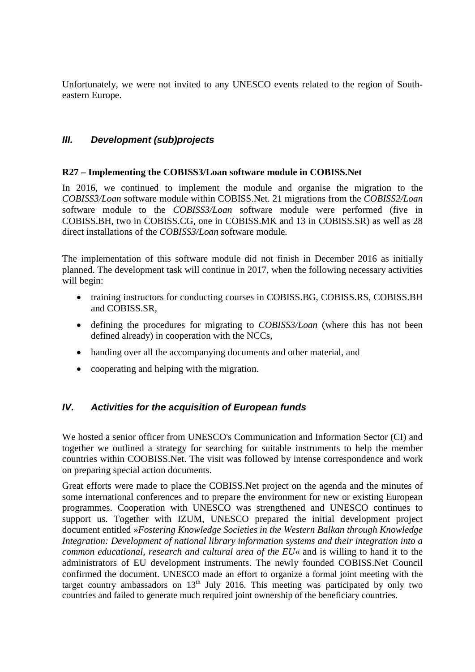Unfortunately, we were not invited to any UNESCO events related to the region of Southeastern Europe.

# *III. Development (sub)projects*

#### **R27 – Implementing the COBISS3/Loan software module in COBISS.Net**

In 2016, we continued to implement the module and organise the migration to the *COBISS3/Loan* software module within COBISS.Net. 21 migrations from the *COBISS2/Loan* software module to the *COBISS3/Loan* software module were performed (five in COBISS.BH, two in COBISS.CG, one in COBISS.MK and 13 in COBISS.SR) as well as 28 direct installations of the *COBISS3/Loan* software module.

The implementation of this software module did not finish in December 2016 as initially planned. The development task will continue in 2017, when the following necessary activities will begin:

- training instructors for conducting courses in COBISS.BG, COBISS.RS, COBISS.BH and COBISS.SR,
- defining the procedures for migrating to *COBISS3/Loan* (where this has not been defined already) in cooperation with the NCCs,
- handing over all the accompanying documents and other material, and
- cooperating and helping with the migration.

## *IV. Activities for the acquisition of European funds*

We hosted a senior officer from UNESCO's Communication and Information Sector (CI) and together we outlined a strategy for searching for suitable instruments to help the member countries within COOBISS.Net. The visit was followed by intense correspondence and work on preparing special action documents.

Great efforts were made to place the COBISS.Net project on the agenda and the minutes of some international conferences and to prepare the environment for new or existing European programmes. Cooperation with UNESCO was strengthened and UNESCO continues to support us. Together with IZUM, UNESCO prepared the initial development project document entitled »*Fostering Knowledge Societies in the Western Balkan through Knowledge Integration: Development of national library information systems and their integration into a common educational, research and cultural area of the EU*« and is willing to hand it to the administrators of EU development instruments. The newly founded COBISS.Net Council confirmed the document. UNESCO made an effort to organize a formal joint meeting with the target country ambassadors on  $13<sup>th</sup>$  July 2016. This meeting was participated by only two countries and failed to generate much required joint ownership of the beneficiary countries.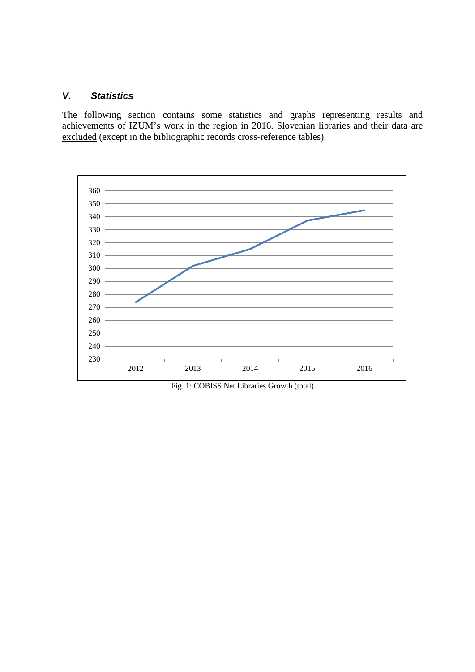## *V. Statistics*

The following section contains some statistics and graphs representing results and achievements of IZUM's work in the region in 2016. Slovenian libraries and their data are excluded (except in the bibliographic records cross-reference tables).



Fig. 1: COBISS.Net Libraries Growth (total)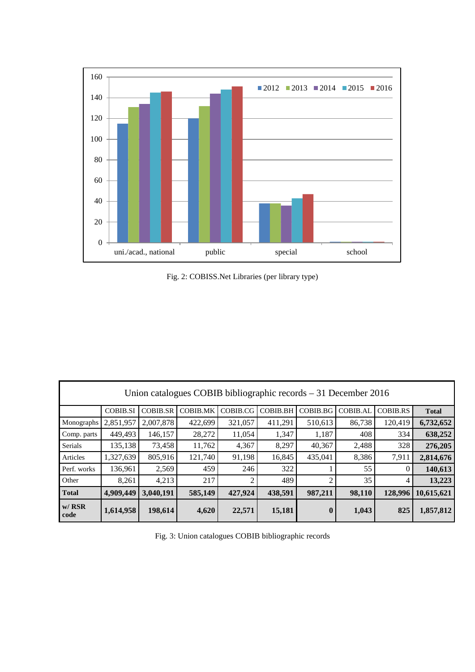

Fig. 2: COBISS.Net Libraries (per library type)

| Union catalogues COBIB bibliographic records $-31$ December 2016 |                 |                 |                 |          |                 |                  |                 |                 |              |  |
|------------------------------------------------------------------|-----------------|-----------------|-----------------|----------|-----------------|------------------|-----------------|-----------------|--------------|--|
|                                                                  | <b>COBIB.SI</b> | <b>COBIB.SR</b> | <b>COBIB.MK</b> | COBIB.CG | <b>COBIB.BH</b> | COBIB.BG         | <b>COBIB.AL</b> | <b>COBIB.RS</b> | <b>Total</b> |  |
| Monographs                                                       | 2,851,957       | 2,007,878       | 422,699         | 321,057  | 411,291         | 510,613          | 86,738          | 120,419         | 6,732,652    |  |
| Comp. parts                                                      | 449,493         | 146,157         | 28,272          | 11,054   | 1,347           | 1,187            | 408             | 334             | 638,252      |  |
| Serials                                                          | 135,138         | 73,458          | 11,762          | 4,367    | 8,297           | 40,367           | 2,488           | 328             | 276,205      |  |
| Articles                                                         | 1,327,639       | 805,916         | 121,740         | 91,198   | 16,845          | 435,041          | 8,386           | 7,911           | 2,814,676    |  |
| Perf. works                                                      | 136,961         | 2,569           | 459             | 246      | 322             |                  | 55              | $\theta$        | 140,613      |  |
| Other                                                            | 8,261           | 4,213           | 217             | 2        | 489             | $\overline{c}$   | 35              | 4               | 13,223       |  |
| <b>Total</b>                                                     | 4,909,449       | 3.040.191       | 585,149         | 427,924  | 438,591         | 987,211          | 98,110          | 128,996         | 10,615,621   |  |
| $w/$ RSR<br>code                                                 | 1,614,958       | 198,614         | 4,620           | 22,571   | 15,181          | $\boldsymbol{0}$ | 1,043           | 825             | 1,857,812    |  |

Fig. 3: Union catalogues COBIB bibliographic records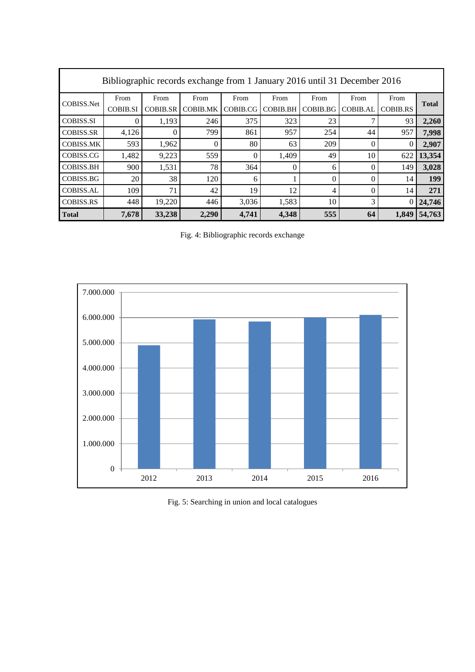| Bibliographic records exchange from 1 January 2016 until 31 December 2016 |                 |                 |                 |          |                 |          |                 |                 |              |
|---------------------------------------------------------------------------|-----------------|-----------------|-----------------|----------|-----------------|----------|-----------------|-----------------|--------------|
| <b>COBISS.Net</b>                                                         | From            | From            | From            | From     | From            | From     | From            | From            | <b>Total</b> |
|                                                                           | <b>COBIB.SI</b> | <b>COBIB.SR</b> | <b>COBIB.MK</b> | COBIB.CG | <b>COBIB.BH</b> | COBIB.BG | <b>COBIB.AL</b> | <b>COBIB.RS</b> |              |
| <b>COBISS.SI</b>                                                          | 0               | 1,193           | 246             | 375      | 323             | 23       |                 | 93              | 2,260        |
| <b>COBISS.SR</b>                                                          | 4,126           | $\Omega$        | 799             | 861      | 957             | 254      | 44              | 957             | 7,998        |
| <b>COBISS.MK</b>                                                          | 593             | 1,962           | $\theta$        | 80       | 63              | 209      |                 | $\Omega$        | 2,907        |
| COBISS.CG                                                                 | 1,482           | 9,223           | 559             | $\Omega$ | 1,409           | 49       | 10              | 622             | 13,354       |
| <b>COBISS.BH</b>                                                          | 900             | 1,531           | 78              | 364      | $\Omega$        | 6        |                 | 149             | 3,028        |
| COBISS.BG                                                                 | 20              | 38              | 120             | 6        |                 | $\theta$ |                 | 14              | 199          |
| <b>COBISS.AL</b>                                                          | 109             | 71              | 42              | 19       | 12              | 4        | 0               | 14              | 271          |
| <b>COBISS.RS</b>                                                          | 448             | 19,220          | 446             | 3,036    | 1,583           | 10       | 3               | $\overline{0}$  | 24,746       |
| <b>Total</b>                                                              | 7,678           | 33,238          | 2,290           | 4,741    | 4,348           | 555      | 64              | 1.849           | 54,763       |

Fig. 4: Bibliographic records exchange



Fig. 5: Searching in union and local catalogues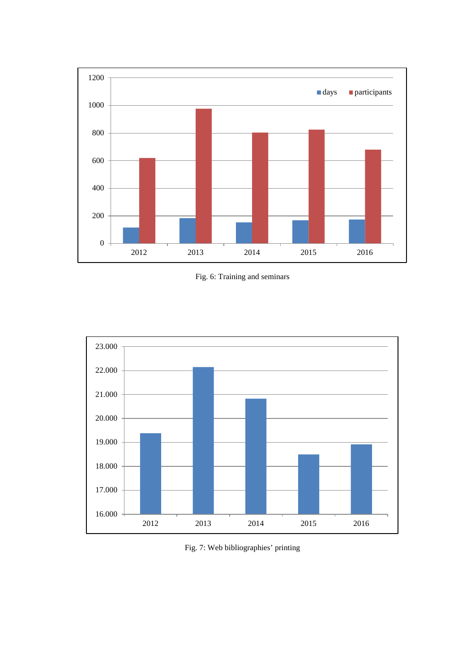

Fig. 6: Training and seminars



Fig. 7: Web bibliographies' printing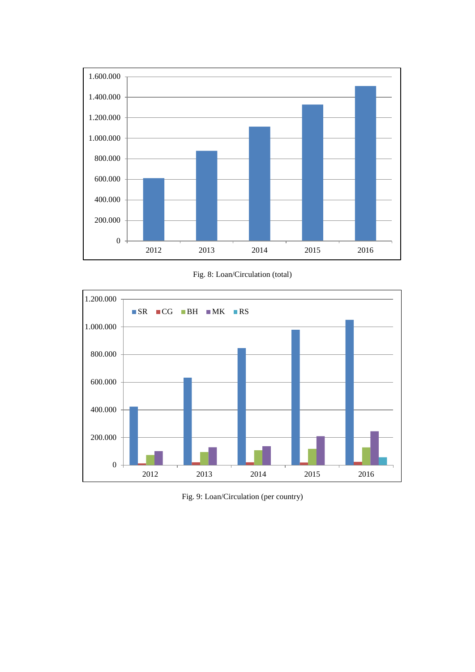

Fig. 8: Loan/Circulation (total)



Fig. 9: Loan/Circulation (per country)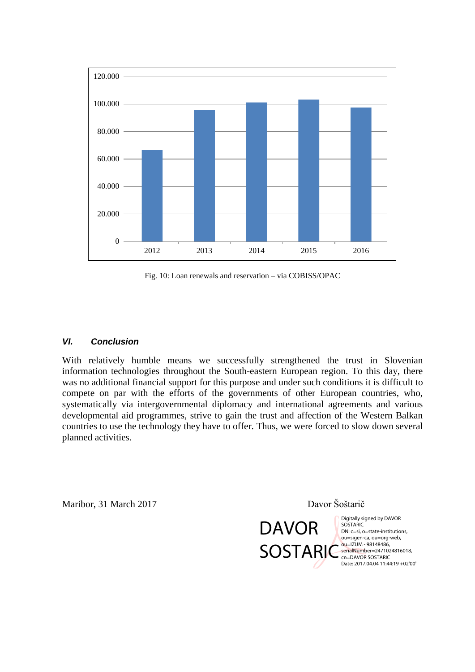

Fig. 10: Loan renewals and reservation – via COBISS/OPAC

#### *VI. Conclusion*

With relatively humble means we successfully strengthened the trust in Slovenian information technologies throughout the South-eastern European region. To this day, there was no additional financial support for this purpose and under such conditions it is difficult to compete on par with the efforts of the governments of other European countries, who, systematically via intergovernmental diplomacy and international agreements and various developmental aid programmes, strive to gain the trust and affection of the Western Balkan countries to use the technology they have to offer. Thus, we were forced to slow down several planned activities.

Maribor, 31 March 2017 Davor Šoštarič

DAVOR

**SOSTARI** 

Digitally signed by DAVOR **SOSTARIC** DN: c=si, o=state-institutions, ou=sigen-ca, ou=org-web, ou=IZUM - 98148486, serialNumber=2471024816018, cn=DAVOR SOSTARIC Date: 2017.04.04 11:44:19 +02'00'